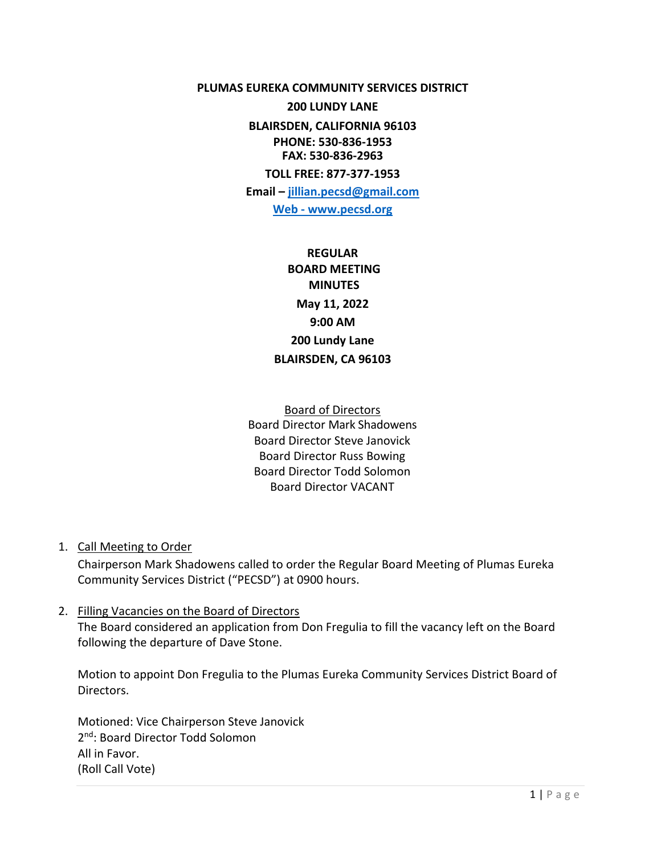**PLUMAS EUREKA COMMUNITY SERVICES DISTRICT** 

**200 LUNDY LANE BLAIRSDEN, CALIFORNIA 96103**

**PHONE: 530-836-1953 FAX: 530-836-2963**

**TOLL FREE: 877-377-1953**

**Email – [jillian.pecsd@gmail.com](mailto:jillian.pecsd@gmail.com)**

**Web - www.pecsd.org**

**REGULAR BOARD MEETING MINUTES May 11, 2022 9:00 AM 200 Lundy Lane BLAIRSDEN, CA 96103**

Board of Directors Board Director Mark Shadowens Board Director Steve Janovick Board Director Russ Bowing Board Director Todd Solomon Board Director VACANT

1. Call Meeting to Order

Chairperson Mark Shadowens called to order the Regular Board Meeting of Plumas Eureka Community Services District ("PECSD") at 0900 hours.

2. Filling Vacancies on the Board of Directors

The Board considered an application from Don Fregulia to fill the vacancy left on the Board following the departure of Dave Stone.

Motion to appoint Don Fregulia to the Plumas Eureka Community Services District Board of Directors.

Motioned: Vice Chairperson Steve Janovick 2 nd: Board Director Todd Solomon All in Favor. (Roll Call Vote)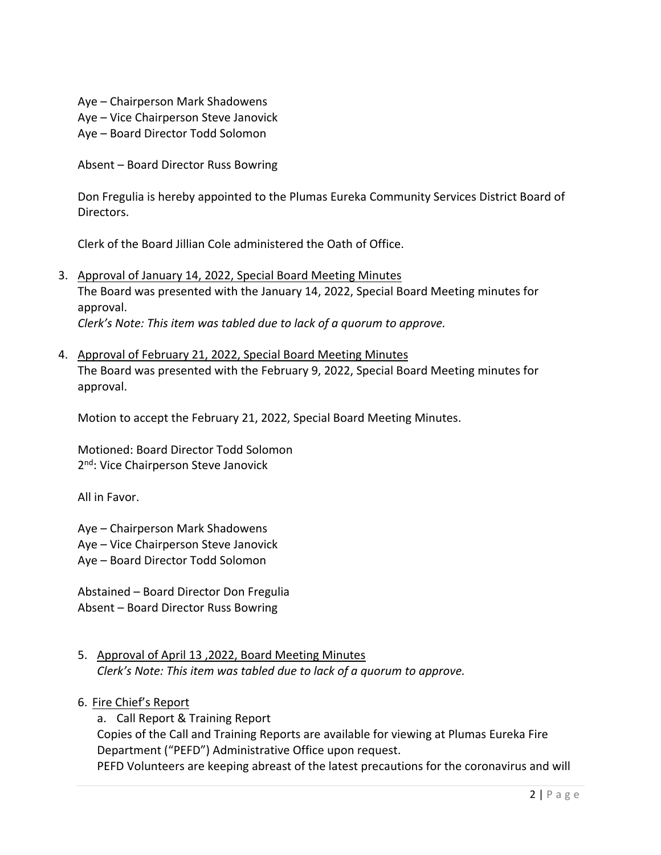Aye – Chairperson Mark Shadowens Aye – Vice Chairperson Steve Janovick Aye – Board Director Todd Solomon

Absent – Board Director Russ Bowring

Don Fregulia is hereby appointed to the Plumas Eureka Community Services District Board of Directors.

Clerk of the Board Jillian Cole administered the Oath of Office.

- 3. Approval of January 14, 2022, Special Board Meeting Minutes The Board was presented with the January 14, 2022, Special Board Meeting minutes for approval. *Clerk's Note: This item was tabled due to lack of a quorum to approve.*
- 4. Approval of February 21, 2022, Special Board Meeting Minutes The Board was presented with the February 9, 2022, Special Board Meeting minutes for approval.

Motion to accept the February 21, 2022, Special Board Meeting Minutes.

Motioned: Board Director Todd Solomon 2<sup>nd</sup>: Vice Chairperson Steve Janovick

All in Favor.

Aye – Chairperson Mark Shadowens Aye – Vice Chairperson Steve Janovick Aye – Board Director Todd Solomon

Abstained – Board Director Don Fregulia Absent – Board Director Russ Bowring

- 5. Approval of April 13 ,2022, Board Meeting Minutes *Clerk's Note: This item was tabled due to lack of a quorum to approve.*
- 6. Fire Chief's Report

a. Call Report & Training Report Copies of the Call and Training Reports are available for viewing at Plumas Eureka Fire Department ("PEFD") Administrative Office upon request. PEFD Volunteers are keeping abreast of the latest precautions for the coronavirus and will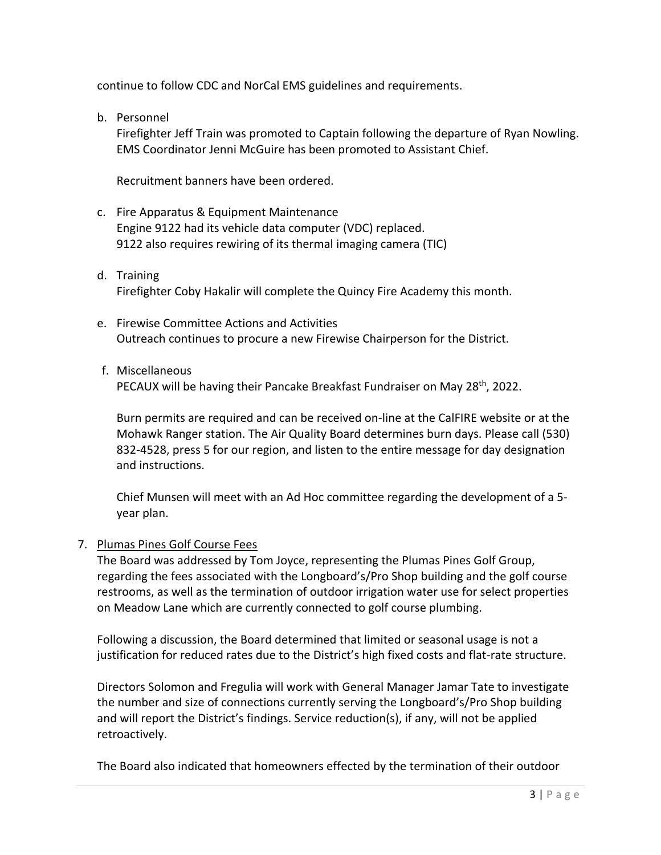continue to follow CDC and NorCal EMS guidelines and requirements.

b. Personnel

Firefighter Jeff Train was promoted to Captain following the departure of Ryan Nowling. EMS Coordinator Jenni McGuire has been promoted to Assistant Chief.

Recruitment banners have been ordered.

- c. Fire Apparatus & Equipment Maintenance Engine 9122 had its vehicle data computer (VDC) replaced. 9122 also requires rewiring of its thermal imaging camera (TIC)
- d. Training Firefighter Coby Hakalir will complete the Quincy Fire Academy this month.
- e. Firewise Committee Actions and Activities Outreach continues to procure a new Firewise Chairperson for the District.
- f. Miscellaneous

PECAUX will be having their Pancake Breakfast Fundraiser on May 28<sup>th</sup>, 2022.

Burn permits are required and can be received on-line at the CalFIRE website or at the Mohawk Ranger station. The Air Quality Board determines burn days. Please call (530) 832-4528, press 5 for our region, and listen to the entire message for day designation and instructions.

Chief Munsen will meet with an Ad Hoc committee regarding the development of a 5 year plan.

## 7. Plumas Pines Golf Course Fees

The Board was addressed by Tom Joyce, representing the Plumas Pines Golf Group, regarding the fees associated with the Longboard's/Pro Shop building and the golf course restrooms, as well as the termination of outdoor irrigation water use for select properties on Meadow Lane which are currently connected to golf course plumbing.

Following a discussion, the Board determined that limited or seasonal usage is not a justification for reduced rates due to the District's high fixed costs and flat-rate structure.

Directors Solomon and Fregulia will work with General Manager Jamar Tate to investigate the number and size of connections currently serving the Longboard's/Pro Shop building and will report the District's findings. Service reduction(s), if any, will not be applied retroactively.

The Board also indicated that homeowners effected by the termination of their outdoor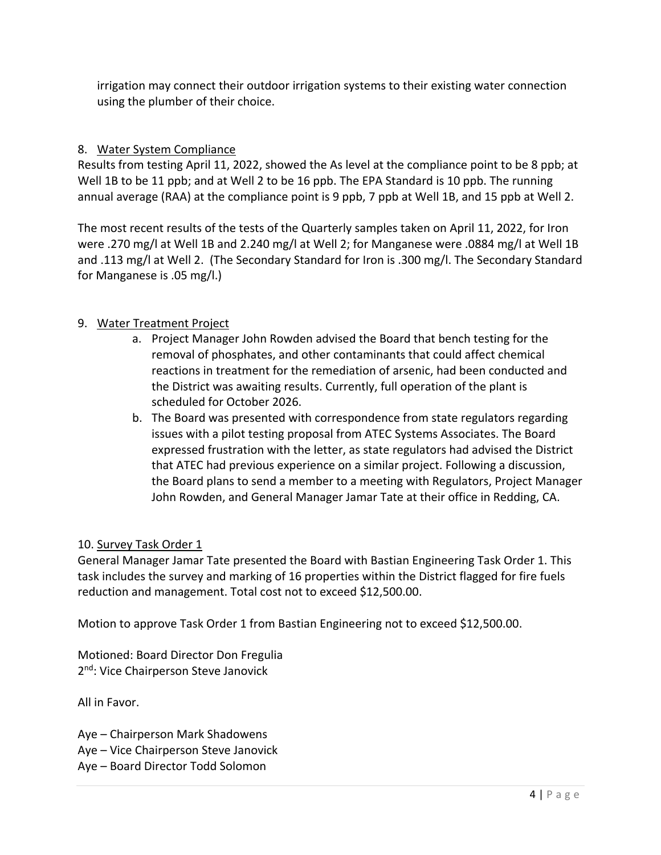irrigation may connect their outdoor irrigation systems to their existing water connection using the plumber of their choice.

# 8. Water System Compliance

Results from testing April 11, 2022, showed the As level at the compliance point to be 8 ppb; at Well 1B to be 11 ppb; and at Well 2 to be 16 ppb. The EPA Standard is 10 ppb. The running annual average (RAA) at the compliance point is 9 ppb, 7 ppb at Well 1B, and 15 ppb at Well 2.

The most recent results of the tests of the Quarterly samples taken on April 11, 2022, for Iron were .270 mg/l at Well 1B and 2.240 mg/l at Well 2; for Manganese were .0884 mg/l at Well 1B and .113 mg/l at Well 2. (The Secondary Standard for Iron is .300 mg/l. The Secondary Standard for Manganese is .05 mg/l.)

# 9. Water Treatment Project

- a. Project Manager John Rowden advised the Board that bench testing for the removal of phosphates, and other contaminants that could affect chemical reactions in treatment for the remediation of arsenic, had been conducted and the District was awaiting results. Currently, full operation of the plant is scheduled for October 2026.
- b. The Board was presented with correspondence from state regulators regarding issues with a pilot testing proposal from ATEC Systems Associates. The Board expressed frustration with the letter, as state regulators had advised the District that ATEC had previous experience on a similar project. Following a discussion, the Board plans to send a member to a meeting with Regulators, Project Manager John Rowden, and General Manager Jamar Tate at their office in Redding, CA.

# 10. Survey Task Order 1

General Manager Jamar Tate presented the Board with Bastian Engineering Task Order 1. This task includes the survey and marking of 16 properties within the District flagged for fire fuels reduction and management. Total cost not to exceed \$12,500.00.

Motion to approve Task Order 1 from Bastian Engineering not to exceed \$12,500.00.

Motioned: Board Director Don Fregulia 2<sup>nd</sup>: Vice Chairperson Steve Janovick

All in Favor.

Aye – Chairperson Mark Shadowens Aye – Vice Chairperson Steve Janovick

Aye – Board Director Todd Solomon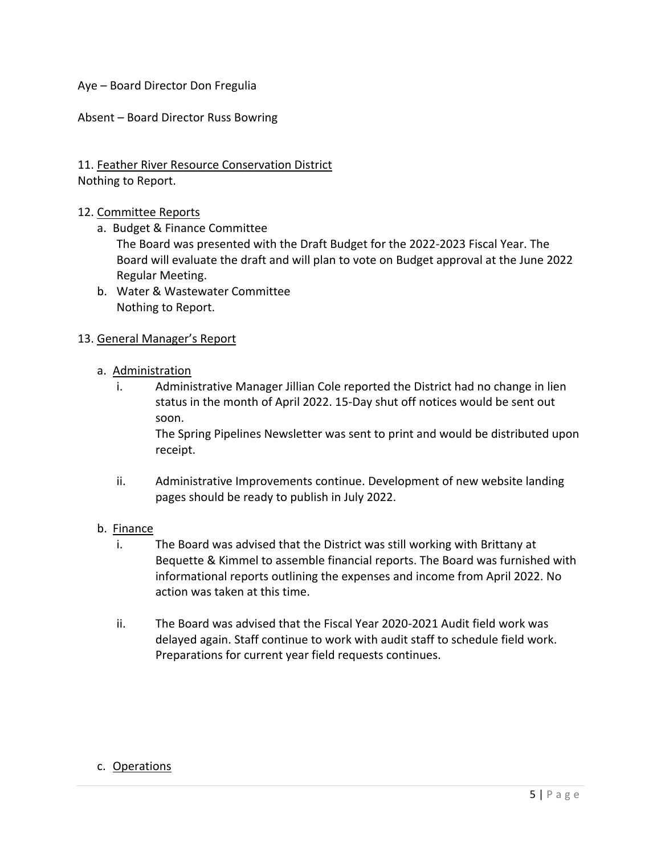Aye – Board Director Don Fregulia

Absent – Board Director Russ Bowring

## 11. Feather River Resource Conservation District Nothing to Report.

### 12. Committee Reports

- a. Budget & Finance Committee
	- The Board was presented with the Draft Budget for the 2022-2023 Fiscal Year. The Board will evaluate the draft and will plan to vote on Budget approval at the June 2022 Regular Meeting.
- b. Water & Wastewater Committee Nothing to Report.

### 13. General Manager's Report

### a. Administration

i. Administrative Manager Jillian Cole reported the District had no change in lien status in the month of April 2022. 15-Day shut off notices would be sent out soon.

The Spring Pipelines Newsletter was sent to print and would be distributed upon receipt.

ii. Administrative Improvements continue. Development of new website landing pages should be ready to publish in July 2022.

#### b. Finance

- i. The Board was advised that the District was still working with Brittany at Bequette & Kimmel to assemble financial reports. The Board was furnished with informational reports outlining the expenses and income from April 2022. No action was taken at this time.
- ii. The Board was advised that the Fiscal Year 2020-2021 Audit field work was delayed again. Staff continue to work with audit staff to schedule field work. Preparations for current year field requests continues.

## c. Operations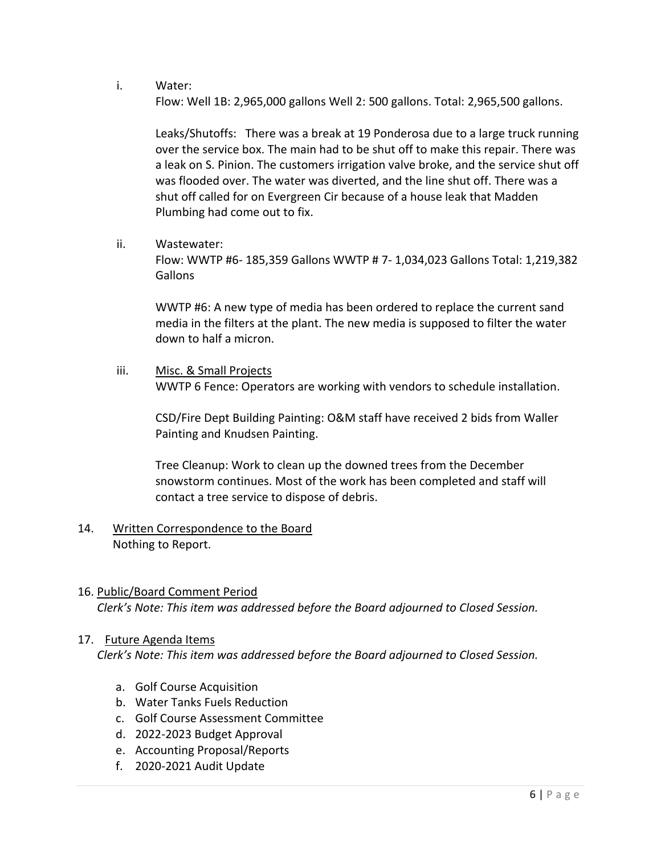i. Water:

Flow: Well 1B: 2,965,000 gallons Well 2: 500 gallons. Total: 2,965,500 gallons.

Leaks/Shutoffs: There was a break at 19 Ponderosa due to a large truck running over the service box. The main had to be shut off to make this repair. There was a leak on S. Pinion. The customers irrigation valve broke, and the service shut off was flooded over. The water was diverted, and the line shut off. There was a shut off called for on Evergreen Cir because of a house leak that Madden Plumbing had come out to fix.

ii. Wastewater:

Flow: WWTP #6- 185,359 Gallons WWTP # 7- 1,034,023 Gallons Total: 1,219,382 Gallons

WWTP #6: A new type of media has been ordered to replace the current sand media in the filters at the plant. The new media is supposed to filter the water down to half a micron.

iii. Misc. & Small Projects WWTP 6 Fence: Operators are working with vendors to schedule installation.

CSD/Fire Dept Building Painting: O&M staff have received 2 bids from Waller Painting and Knudsen Painting.

Tree Cleanup: Work to clean up the downed trees from the December snowstorm continues. Most of the work has been completed and staff will contact a tree service to dispose of debris.

# 14. Written Correspondence to the Board Nothing to Report.

## 16. Public/Board Comment Period

*Clerk's Note: This item was addressed before the Board adjourned to Closed Session.*

## 17. Future Agenda Items

*Clerk's Note: This item was addressed before the Board adjourned to Closed Session.*

- a. Golf Course Acquisition
- b. Water Tanks Fuels Reduction
- c. Golf Course Assessment Committee
- d. 2022-2023 Budget Approval
- e. Accounting Proposal/Reports
- f. 2020-2021 Audit Update